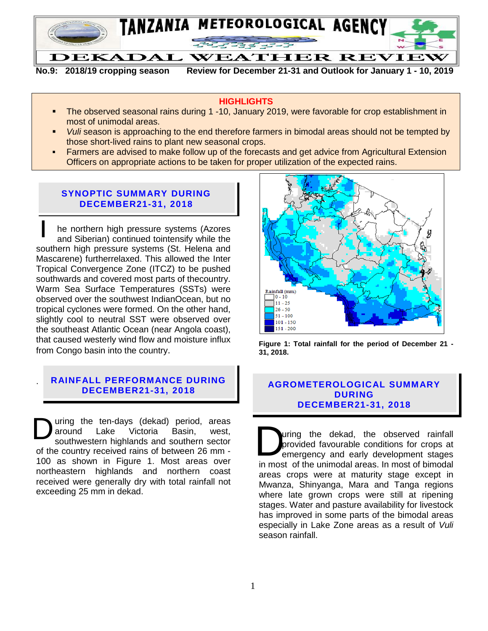

**No.9: 2018/19 cropping season Review for December 21-31 and Outlook for January 1 - 10, 2019**

#### **HIGHLIGHTS**

- The observed seasonal rains during 1 -10, January 2019, were favorable for crop establishment in most of unimodal areas.
- *Vuli* season is approaching to the end therefore farmers in bimodal areas should not be tempted by those short-lived rains to plant new seasonal crops.
- **Farmers are advised to make follow up of the forecasts and get advice from Agricultural Extension** Officers on appropriate actions to be taken for proper utilization of the expected rains.

#### **SYNOPTIC SUMMARY DURING DECEMBER21-31, 2018**

he northern high pressure systems (Azores and Siberian) continued tointensify while the southern high pressure systems (St. Helena and Mascarene) furtherrelaxed. This allowed the Inter Tropical Convergence Zone (ITCZ) to be pushed southwards and covered most parts of thecountry. Warm Sea Surface Temperatures (SSTs) were observed over the southwest IndianOcean, but no tropical cyclones were formed. On the other hand, slightly cool to neutral SST were observed over the southeast Atlantic Ocean (near Angola coast), that caused westerly wind flow and moisture influx from Congo basin into the country.  $\overline{1}$ 

# **RAINFALL PERFORMANCE DURING**

.

uring the ten-days (dekad) period, areas around Lake Victoria Basin, west, southwestern highlands and southern sector of the country received rains of between 26 mm - 100 as shown in Figure 1. Most areas over northeastern highlands and northern coast received were generally dry with total rainfall not exceeding 25 mm in dekad. **D** uring the ten-days (dekad) period, areas<br>around Lake Victoria Basin, west,<br>of the country received rains of between 26 mm -<br>100 as shown in Figure 1. Most areas over



**Figure 1: Total rainfall for the period of December 21 - 31, 2018.**

#### **DECEMBER21-31, 2018 AGROMETEROLOGICAL SUMMARY DURING DECEMBER21-31, 2018**

uring the dekad, the observed rainfall provided favourable conditions for crops at emergency and early development stages in most of the unimodal areas. In most of bimodal areas crops were at maturity stage except in Mwanza, Shinyanga, Mara and Tanga regions where late grown crops were still at ripening stages. Water and pasture availability for livestock has improved in some parts of the bimodal areas especially in Lake Zone areas as a result of *Vuli* season rainfall.